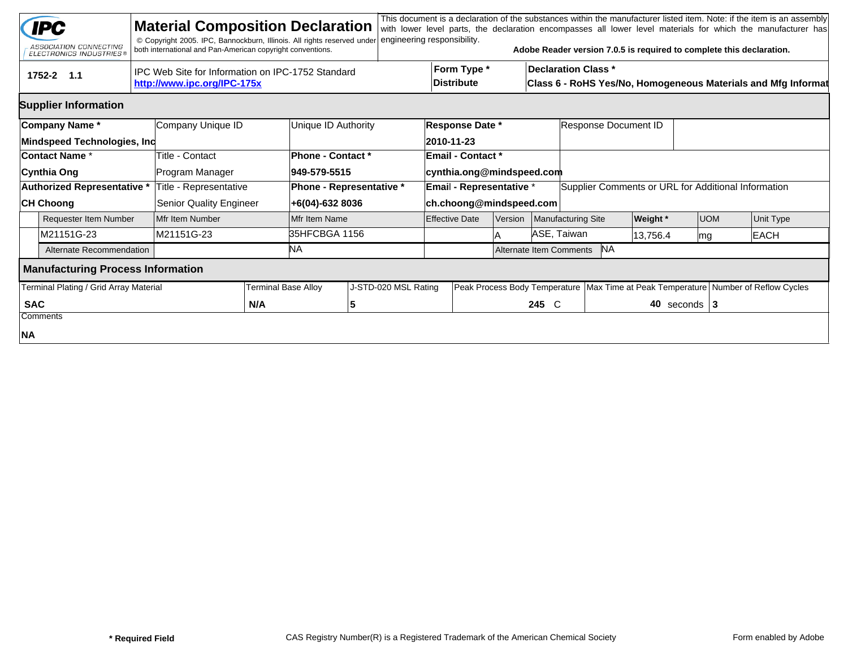|                                        | <b>IPC</b><br>ASSOCIATION CONNECTING<br><b>ELECTRONICS INDUSTRIES®</b> |  | <b>Material Composition Declaration</b><br>© Copyright 2005. IPC, Bannockburn, Illinois. All rights reserved under<br>both international and Pan-American copyright conventions. |     |                            | engineering responsibility. |                               |                                      |                                      |                                                                                             |                                                     | Adobe Reader version 7.0.5 is required to complete this declaration. |                                                      |  | This document is a declaration of the substances within the manufacturer listed item. Note: if the item is an assembly<br>with lower level parts, the declaration encompasses all lower level materials for which the manufacturer has |  |
|----------------------------------------|------------------------------------------------------------------------|--|----------------------------------------------------------------------------------------------------------------------------------------------------------------------------------|-----|----------------------------|-----------------------------|-------------------------------|--------------------------------------|--------------------------------------|---------------------------------------------------------------------------------------------|-----------------------------------------------------|----------------------------------------------------------------------|------------------------------------------------------|--|----------------------------------------------------------------------------------------------------------------------------------------------------------------------------------------------------------------------------------------|--|
|                                        | 1752-2 1.1                                                             |  | IPC Web Site for Information on IPC-1752 Standard<br>http://www.ipc.org/IPC-175x                                                                                                 |     |                            |                             |                               | Form Type *<br><b>Distribute</b>     |                                      | <b>Declaration Class *</b><br>Class 6 - RoHS Yes/No, Homogeneous Materials and Mfg Informat |                                                     |                                                                      |                                                      |  |                                                                                                                                                                                                                                        |  |
|                                        | <b>Supplier Information</b>                                            |  |                                                                                                                                                                                  |     |                            |                             |                               |                                      |                                      |                                                                                             |                                                     |                                                                      |                                                      |  |                                                                                                                                                                                                                                        |  |
| Company Name*<br>Company Unique ID     |                                                                        |  |                                                                                                                                                                                  |     | Unique ID Authority        |                             |                               | <b>Response Date *</b><br>2010-11-23 |                                      |                                                                                             | Response Document ID                                |                                                                      |                                                      |  |                                                                                                                                                                                                                                        |  |
|                                        | Mindspeed Technologies, Inc<br><b>Contact Name *</b>                   |  | Title - Contact                                                                                                                                                                  |     | Phone - Contact *          |                             |                               | <b>Email - Contact *</b>             |                                      |                                                                                             |                                                     |                                                                      |                                                      |  |                                                                                                                                                                                                                                        |  |
|                                        | Cynthia Ong                                                            |  | Program Manager                                                                                                                                                                  |     | 949-579-5515               |                             |                               | cynthia.ong@mindspeed.com            |                                      |                                                                                             |                                                     |                                                                      |                                                      |  |                                                                                                                                                                                                                                        |  |
|                                        | <b>Authorized Representative *</b>                                     |  | Title - Representative                                                                                                                                                           |     | Phone - Representative *   |                             |                               | Email - Representative *             |                                      |                                                                                             | Supplier Comments or URL for Additional Information |                                                                      |                                                      |  |                                                                                                                                                                                                                                        |  |
|                                        | <b>CH Choong</b>                                                       |  | <b>Senior Quality Engineer</b>                                                                                                                                                   |     | +6(04)-632 8036            |                             |                               | ch.choong@mindspeed.com              |                                      |                                                                                             |                                                     |                                                                      |                                                      |  |                                                                                                                                                                                                                                        |  |
|                                        | <b>Requester Item Number</b>                                           |  | Mfr Item Number                                                                                                                                                                  |     | Mfr Item Name              |                             |                               | <b>Effective Date</b>                | <b>Version</b>                       |                                                                                             | Manufacturing Site                                  | <b>Weight</b> *                                                      | <b>UOM</b>                                           |  | Unit Type                                                                                                                                                                                                                              |  |
|                                        | M21151G-23                                                             |  | M21151G-23                                                                                                                                                                       |     | 35HFCBGA 1156              |                             |                               |                                      |                                      | ASE, Taiwan                                                                                 |                                                     | 13,756.4                                                             | mg                                                   |  | <b>EACH</b>                                                                                                                                                                                                                            |  |
|                                        | Alternate Recommendation                                               |  |                                                                                                                                                                                  |     | ΝA                         |                             |                               |                                      | <b>NA</b><br>Alternate Item Comments |                                                                                             |                                                     |                                                                      |                                                      |  |                                                                                                                                                                                                                                        |  |
|                                        | <b>Manufacturing Process Information</b>                               |  |                                                                                                                                                                                  |     |                            |                             |                               |                                      |                                      |                                                                                             |                                                     |                                                                      |                                                      |  |                                                                                                                                                                                                                                        |  |
| Terminal Plating / Grid Array Material |                                                                        |  |                                                                                                                                                                                  |     | <b>Terminal Base Alloy</b> | J-STD-020 MSL Rating        | Peak Process Body Temperature |                                      |                                      |                                                                                             |                                                     |                                                                      | Max Time at Peak Temperature Number of Reflow Cycles |  |                                                                                                                                                                                                                                        |  |
| <b>SAC</b>                             |                                                                        |  |                                                                                                                                                                                  | N/A |                            | 5                           |                               |                                      |                                      | 245 C                                                                                       | 40 seconds $ 3 $                                    |                                                                      |                                                      |  |                                                                                                                                                                                                                                        |  |
|                                        | Comments                                                               |  |                                                                                                                                                                                  |     |                            |                             |                               |                                      |                                      |                                                                                             |                                                     |                                                                      |                                                      |  |                                                                                                                                                                                                                                        |  |
| NA                                     |                                                                        |  |                                                                                                                                                                                  |     |                            |                             |                               |                                      |                                      |                                                                                             |                                                     |                                                                      |                                                      |  |                                                                                                                                                                                                                                        |  |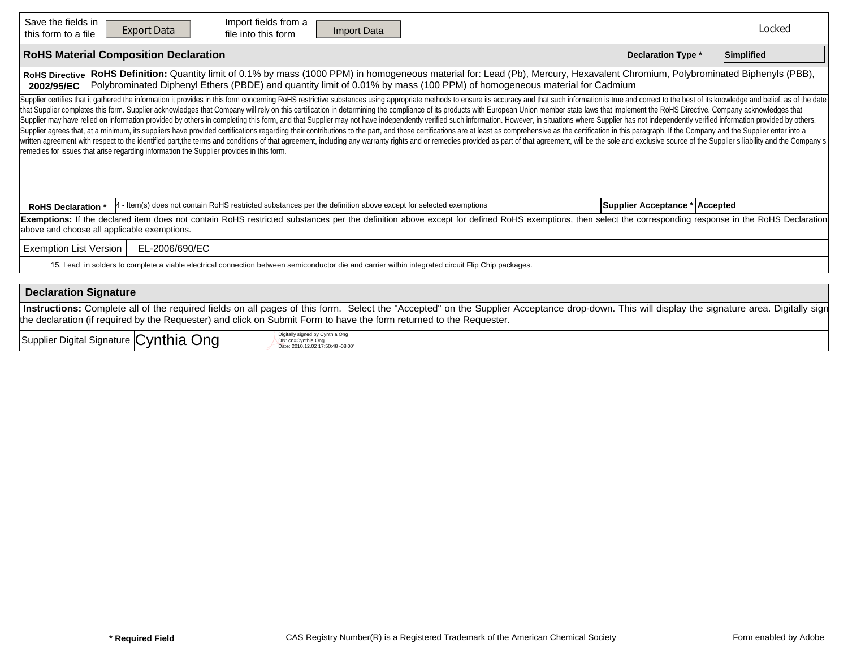| Save the fields in<br>Import fields from a<br><b>Export Data</b><br>Import Data<br>file into this form<br>this form to a file                                                                                                                                                                                                                                                                                                                                                                                                                                                                                                                                                                                                                                                                                                                                                                                                                                                                                                                                                                                                                                                                                                                                     |                                | Locked     |  |  |  |  |  |  |  |  |  |
|-------------------------------------------------------------------------------------------------------------------------------------------------------------------------------------------------------------------------------------------------------------------------------------------------------------------------------------------------------------------------------------------------------------------------------------------------------------------------------------------------------------------------------------------------------------------------------------------------------------------------------------------------------------------------------------------------------------------------------------------------------------------------------------------------------------------------------------------------------------------------------------------------------------------------------------------------------------------------------------------------------------------------------------------------------------------------------------------------------------------------------------------------------------------------------------------------------------------------------------------------------------------|--------------------------------|------------|--|--|--|--|--|--|--|--|--|
| <b>RoHS Material Composition Declaration</b>                                                                                                                                                                                                                                                                                                                                                                                                                                                                                                                                                                                                                                                                                                                                                                                                                                                                                                                                                                                                                                                                                                                                                                                                                      | <b>Declaration Type *</b>      | Simplified |  |  |  |  |  |  |  |  |  |
| RoHS Definition: Quantity limit of 0.1% by mass (1000 PPM) in homogeneous material for: Lead (Pb), Mercury, Hexavalent Chromium, Polybrominated Biphenyls (PBB),<br><b>RoHS Directive</b><br>Polybrominated Diphenyl Ethers (PBDE) and quantity limit of 0.01% by mass (100 PPM) of homogeneous material for Cadmium<br>2002/95/EC                                                                                                                                                                                                                                                                                                                                                                                                                                                                                                                                                                                                                                                                                                                                                                                                                                                                                                                                |                                |            |  |  |  |  |  |  |  |  |  |
| Supplier certifies that it gathered the information it provides in this form concerning RoHS restrictive substances using appropriate methods to ensure its accuracy and that such information is true and correct to the best<br>that Supplier completes this form. Supplier acknowledges that Company will rely on this certification in determining the compliance of its products with European Union member state laws that implement the RoHS Directive. C<br>Supplier may have relied on information provided by others in completing this form, and that Supplier may not have independently verified such information. However, in situations where Supplier has not independently verifi<br>Supplier agrees that, at a minimum, its suppliers have provided certifications regarding their contributions to the part, and those certifications are at least as comprehensive as the certification in this paragraph. If th<br>written agreement with respect to the identified part, the terms and conditions of that agreement, including any warranty rights and or remedies provided as part of that agreement, will be the sole and exclusive source of<br>remedies for issues that arise regarding information the Supplier provides in this form. |                                |            |  |  |  |  |  |  |  |  |  |
| - Item(s) does not contain RoHS restricted substances per the definition above except for selected exemptions<br><b>RoHS Declaration</b>                                                                                                                                                                                                                                                                                                                                                                                                                                                                                                                                                                                                                                                                                                                                                                                                                                                                                                                                                                                                                                                                                                                          | Supplier Acceptance * Accepted |            |  |  |  |  |  |  |  |  |  |
| Exemptions: If the declared item does not contain RoHS restricted substances per the definition above except for defined RoHS exemptions, then select the corresponding response in the RoHS Declaration<br>above and choose all applicable exemptions.                                                                                                                                                                                                                                                                                                                                                                                                                                                                                                                                                                                                                                                                                                                                                                                                                                                                                                                                                                                                           |                                |            |  |  |  |  |  |  |  |  |  |
| <b>Exemption List Version</b><br>EL-2006/690/EC                                                                                                                                                                                                                                                                                                                                                                                                                                                                                                                                                                                                                                                                                                                                                                                                                                                                                                                                                                                                                                                                                                                                                                                                                   |                                |            |  |  |  |  |  |  |  |  |  |
| 15. Lead in solders to complete a viable electrical connection between semiconductor die and carrier within integrated circuit Flip Chip packages.                                                                                                                                                                                                                                                                                                                                                                                                                                                                                                                                                                                                                                                                                                                                                                                                                                                                                                                                                                                                                                                                                                                |                                |            |  |  |  |  |  |  |  |  |  |
|                                                                                                                                                                                                                                                                                                                                                                                                                                                                                                                                                                                                                                                                                                                                                                                                                                                                                                                                                                                                                                                                                                                                                                                                                                                                   |                                |            |  |  |  |  |  |  |  |  |  |
| <b>Declaration Signature</b>                                                                                                                                                                                                                                                                                                                                                                                                                                                                                                                                                                                                                                                                                                                                                                                                                                                                                                                                                                                                                                                                                                                                                                                                                                      |                                |            |  |  |  |  |  |  |  |  |  |
| Instructions: Complete all of the required fields on all pages of this form. Select the "Accepted" on the Supplier Acceptance drop-down. This will display the signature area. Digitally sign<br>the declaration (if required by the Requester) and click on Submit Form to have the form returned to the Requester.                                                                                                                                                                                                                                                                                                                                                                                                                                                                                                                                                                                                                                                                                                                                                                                                                                                                                                                                              |                                |            |  |  |  |  |  |  |  |  |  |
| ۔ مان ما<br>Digitally signed by Cynthia Ong                                                                                                                                                                                                                                                                                                                                                                                                                                                                                                                                                                                                                                                                                                                                                                                                                                                                                                                                                                                                                                                                                                                                                                                                                       |                                |            |  |  |  |  |  |  |  |  |  |

| Cvnthia<br>Supplier Digital<br>⊃na<br>l Signature   <b>(</b> | signed by Cynthia Ong<br>n One<br>0.010 |  |
|--------------------------------------------------------------|-----------------------------------------|--|
|--------------------------------------------------------------|-----------------------------------------|--|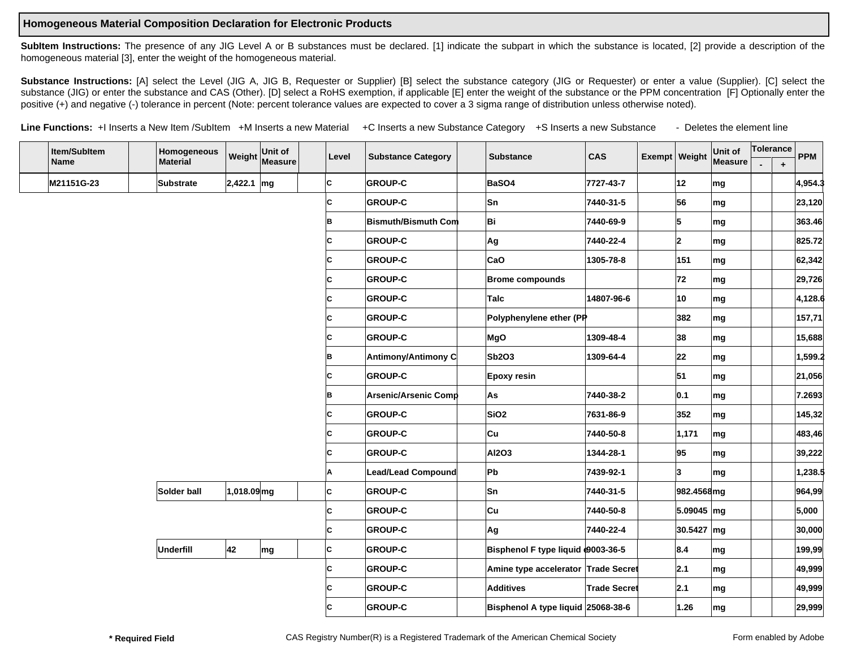## **Homogeneous Material Composition Declaration for Electronic Products**

SubItem Instructions: The presence of any JIG Level A or B substances must be declared. [1] indicate the subpart in which the substance is located, [2] provide a description of the homogeneous material [3], enter the weight of the homogeneous material.

Substance Instructions: [A] select the Level (JIG A, JIG B, Requester or Supplier) [B] select the substance category (JIG or Requester) or enter a value (Supplier). [C] select the substance (JIG) or enter the substance and CAS (Other). [D] select a RoHS exemption, if applicable [E] enter the weight of the substance or the PPM concentration [F] Optionally enter the positive (+) and negative (-) tolerance in percent (Note: percent tolerance values are expected to cover a 3 sigma range of distribution unless otherwise noted).

Line Functions: +I Inserts a New Item /SubItem +M Inserts a new Material +C Inserts a new Substance Category +S Inserts a new Substance - Deletes the element line

| Item/SubItem | Homogeneous      | Weight Unit of |         | Level | <b>Substance Category</b>   | <b>Substance</b>                    | <b>CAS</b>          | Exempt   Weight |            | Unit of                  | Tolerance |           | <b>PPM</b> |
|--------------|------------------|----------------|---------|-------|-----------------------------|-------------------------------------|---------------------|-----------------|------------|--------------------------|-----------|-----------|------------|
| Name         | <b>Material</b>  |                | Measure |       |                             |                                     |                     |                 |            | <b>Measure</b>           |           | $\ddot{}$ |            |
| M21151G-23   | <b>Substrate</b> | $2,422.1$ mg   |         | lc.   | <b>GROUP-C</b>              | BaSO4                               | 7727-43-7           |                 | 12         | mg                       |           |           | 4,954.3    |
|              |                  |                |         | lc.   | <b>GROUP-C</b>              | Sn                                  | 7440-31-5           |                 | 56         | mg                       |           |           | 23,120     |
|              |                  |                |         | B     | <b>Bismuth/Bismuth Com</b>  | Bi                                  | 7440-69-9           |                 | 5          | mg                       |           |           | 363.46     |
|              |                  |                |         | lc.   | <b>GROUP-C</b>              | Ag                                  | 7440-22-4           |                 | 12.        | mg                       |           |           | 825.72     |
|              |                  |                |         | IC.   | <b>GROUP-C</b>              | CaO                                 | 1305-78-8           |                 | 151        | ∣mg                      |           |           | 62,342     |
|              |                  |                |         | lc.   | <b>GROUP-C</b>              | <b>Brome compounds</b>              |                     |                 | 72         | mg                       |           |           | 29,726     |
|              |                  |                |         | IC.   | <b>GROUP-C</b>              | Talc                                | 14807-96-6          |                 | 10         | ∣mg                      |           |           | 4,128.6    |
|              |                  |                |         | lc.   | <b>GROUP-C</b>              | Polyphenylene ether (PP             |                     |                 | 382        | mg                       |           |           | 157,71     |
|              |                  |                |         | lc.   | <b>GROUP-C</b>              | MgO                                 | 1309-48-4           |                 | 38         | $\mathsf{Im} \mathsf{g}$ |           |           | 15,688     |
|              |                  |                |         | lB.   | Antimony/Antimony C         | Sb2O3                               | 1309-64-4           |                 | 22         | mg                       |           |           | 1,599.2    |
|              |                  |                |         | ΙC    | <b>GROUP-C</b>              | <b>Epoxy resin</b>                  |                     |                 | 51         | $\mathsf{Im} \mathsf{g}$ |           |           | 21,056     |
|              |                  |                |         | lB.   | <b>Arsenic/Arsenic Comp</b> | As                                  | 7440-38-2           |                 | 0.1        | mg                       |           |           | 7.2693     |
|              |                  |                |         | ΙC    | <b>GROUP-C</b>              | SiO <sub>2</sub>                    | 7631-86-9           |                 | 352        | mg                       |           |           | 145,32     |
|              |                  |                |         | IC.   | <b>GROUP-C</b>              | ∣Cu                                 | 7440-50-8           |                 | 1,171      | ∣mg                      |           |           | 483,46     |
|              |                  |                |         | C     | <b>GROUP-C</b>              | <b>AI2O3</b>                        | 1344-28-1           |                 | 95         | mg                       |           |           | 39,222     |
|              |                  |                |         | A     | <b>Lead/Lead Compound</b>   | Pb                                  | 7439-92-1           |                 | 3          | mg                       |           |           | 1,238.5    |
|              | Solder ball      | 1,018.09 mg    |         | C     | <b>GROUP-C</b>              | lSn                                 | 7440-31-5           |                 | 982.4568mg |                          |           |           | 964,99     |
|              |                  |                |         | lc.   | <b>GROUP-C</b>              | Cu                                  | 7440-50-8           |                 | 5.09045 mg |                          |           |           | 5,000      |
|              |                  |                |         | lc.   | <b>GROUP-C</b>              | Ag                                  | 7440-22-4           |                 | 30.5427 mg |                          |           |           | 30,000     |
|              | <b>Underfill</b> | 42             | mg      | lc.   | <b>GROUP-C</b>              | Bisphenol F type liquid 0003-36-5   |                     |                 | 8.4        | mg                       |           |           | 199,99     |
|              |                  |                |         | lc.   | <b>GROUP-C</b>              | Amine type accelerator Trade Secret |                     |                 | 2.1        | mg                       |           |           | 49,999     |
|              |                  |                |         | lc.   | <b>GROUP-C</b>              | Additives                           | <b>Trade Secret</b> |                 | 2.1        | mg                       |           |           | 49,999     |
|              |                  |                |         | ΙC    | <b>GROUP-C</b>              | Bisphenol A type liquid 25068-38-6  |                     |                 | 1.26       | mg                       |           |           | 29,999     |